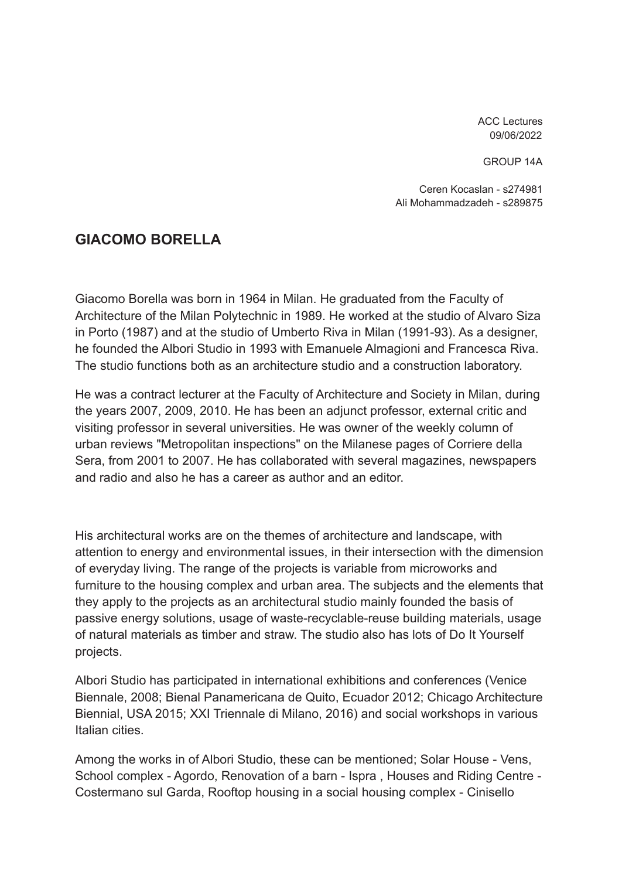ACC Lectures 09/06/2022

GROUP 14A

Ceren Kocaslan - s274981 Ali Mohammadzadeh - s289875

# **GIACOMO BORELLA**

Giacomo Borella was born in 1964 in Milan. He graduated from the Faculty of Architecture of the Milan Polytechnic in 1989. He worked at the studio of Alvaro Siza in Porto (1987) and at the studio of Umberto Riva in Milan (1991-93). As a designer, he founded the Albori Studio in 1993 with Emanuele Almagioni and Francesca Riva. The studio functions both as an architecture studio and a construction laboratory.

He was a contract lecturer at the Faculty of Architecture and Society in Milan, during the years 2007, 2009, 2010. He has been an adjunct professor, external critic and visiting professor in several universities. He was owner of the weekly column of urban reviews "Metropolitan inspections" on the Milanese pages of Corriere della Sera, from 2001 to 2007. He has collaborated with several magazines, newspapers and radio and also he has a career as author and an editor.

His architectural works are on the themes of architecture and landscape, with attention to energy and environmental issues, in their intersection with the dimension of everyday living. The range of the projects is variable from microworks and furniture to the housing complex and urban area. The subjects and the elements that they apply to the projects as an architectural studio mainly founded the basis of passive energy solutions, usage of waste-recyclable-reuse building materials, usage of natural materials as timber and straw. The studio also has lots of Do It Yourself projects.

Albori Studio has participated in international exhibitions and conferences (Venice Biennale, 2008; Bienal Panamericana de Quito, Ecuador 2012; Chicago Architecture Biennial, USA 2015; XXI Triennale di Milano, 2016) and social workshops in various Italian cities.

Among the works in of Albori Studio, these can be mentioned; Solar House - Vens, School complex - Agordo, Renovation of a barn - Ispra , Houses and Riding Centre - Costermano sul Garda, Rooftop housing in a social housing complex - Cinisello